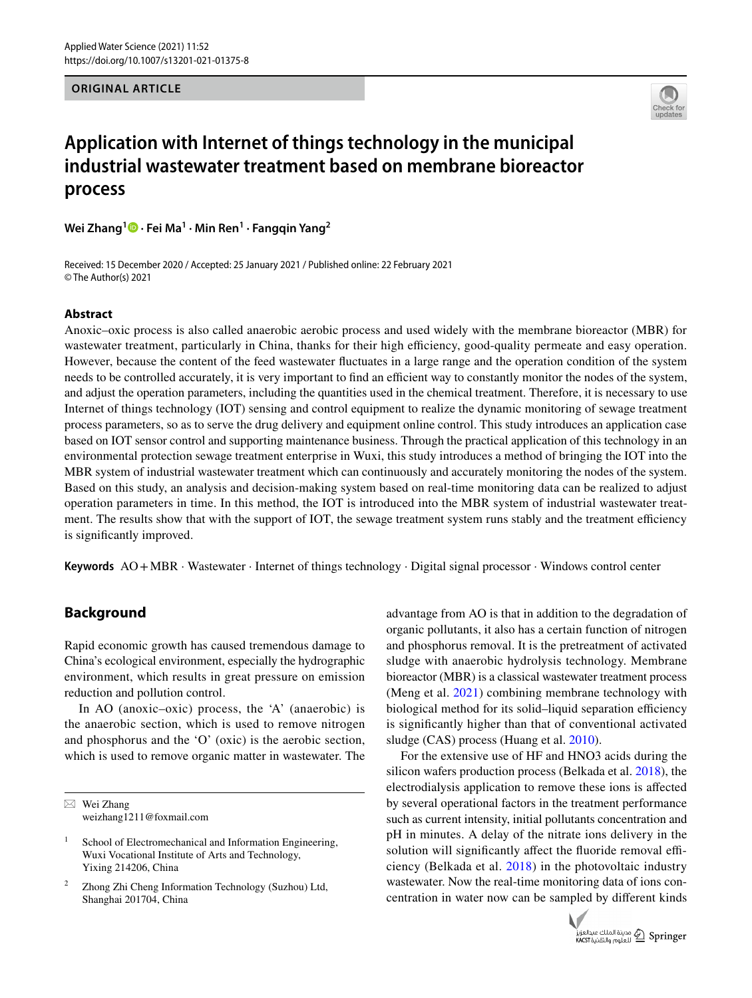**ORIGINAL ARTICLE**



# **Application with Internet of things technology in the municipal industrial wastewater treatment based on membrane bioreactor process**

**Wei Zhang1  [·](http://orcid.org/0000-0003-0716-7615) Fei Ma<sup>1</sup> · Min Ren1 · Fangqin Yang2**

Received: 15 December 2020 / Accepted: 25 January 2021 / Published online: 22 February 2021 © The Author(s) 2021

## **Abstract**

Anoxic–oxic process is also called anaerobic aerobic process and used widely with the membrane bioreactor (MBR) for wastewater treatment, particularly in China, thanks for their high efficiency, good-quality permeate and easy operation. However, because the content of the feed wastewater fuctuates in a large range and the operation condition of the system needs to be controlled accurately, it is very important to find an efficient way to constantly monitor the nodes of the system, and adjust the operation parameters, including the quantities used in the chemical treatment. Therefore, it is necessary to use Internet of things technology (IOT) sensing and control equipment to realize the dynamic monitoring of sewage treatment process parameters, so as to serve the drug delivery and equipment online control. This study introduces an application case based on IOT sensor control and supporting maintenance business. Through the practical application of this technology in an environmental protection sewage treatment enterprise in Wuxi, this study introduces a method of bringing the IOT into the MBR system of industrial wastewater treatment which can continuously and accurately monitoring the nodes of the system. Based on this study, an analysis and decision-making system based on real-time monitoring data can be realized to adjust operation parameters in time. In this method, the IOT is introduced into the MBR system of industrial wastewater treatment. The results show that with the support of IOT, the sewage treatment system runs stably and the treatment efficiency is signifcantly improved.

**Keywords** AO+MBR · Wastewater · Internet of things technology · Digital signal processor · Windows control center

# **Background**

Rapid economic growth has caused tremendous damage to China's ecological environment, especially the hydrographic environment, which results in great pressure on emission reduction and pollution control.

In AO (anoxic–oxic) process, the 'A' (anaerobic) is the anaerobic section, which is used to remove nitrogen and phosphorus and the 'O' (oxic) is the aerobic section, which is used to remove organic matter in wastewater. The

 $\boxtimes$  Wei Zhang weizhang1211@foxmail.com advantage from AO is that in addition to the degradation of organic pollutants, it also has a certain function of nitrogen and phosphorus removal. It is the pretreatment of activated sludge with anaerobic hydrolysis technology. Membrane bioreactor (MBR) is a classical wastewater treatment process (Meng et al. [2021\)](#page-11-0) combining membrane technology with biological method for its solid–liquid separation efficiency is signifcantly higher than that of conventional activated sludge (CAS) process (Huang et al. [2010](#page-10-0)).

For the extensive use of HF and HNO3 acids during the silicon wafers production process (Belkada et al. [2018\)](#page-10-1), the electrodialysis application to remove these ions is afected by several operational factors in the treatment performance such as current intensity, initial pollutants concentration and pH in minutes. A delay of the nitrate ions delivery in the solution will significantly affect the fluoride removal efficiency (Belkada et al. [2018\)](#page-10-1) in the photovoltaic industry wastewater. Now the real-time monitoring data of ions concentration in water now can be sampled by diferent kinds



<sup>&</sup>lt;sup>1</sup> School of Electromechanical and Information Engineering, Wuxi Vocational Institute of Arts and Technology, Yixing 214206, China

<sup>2</sup> Zhong Zhi Cheng Information Technology (Suzhou) Ltd, Shanghai 201704, China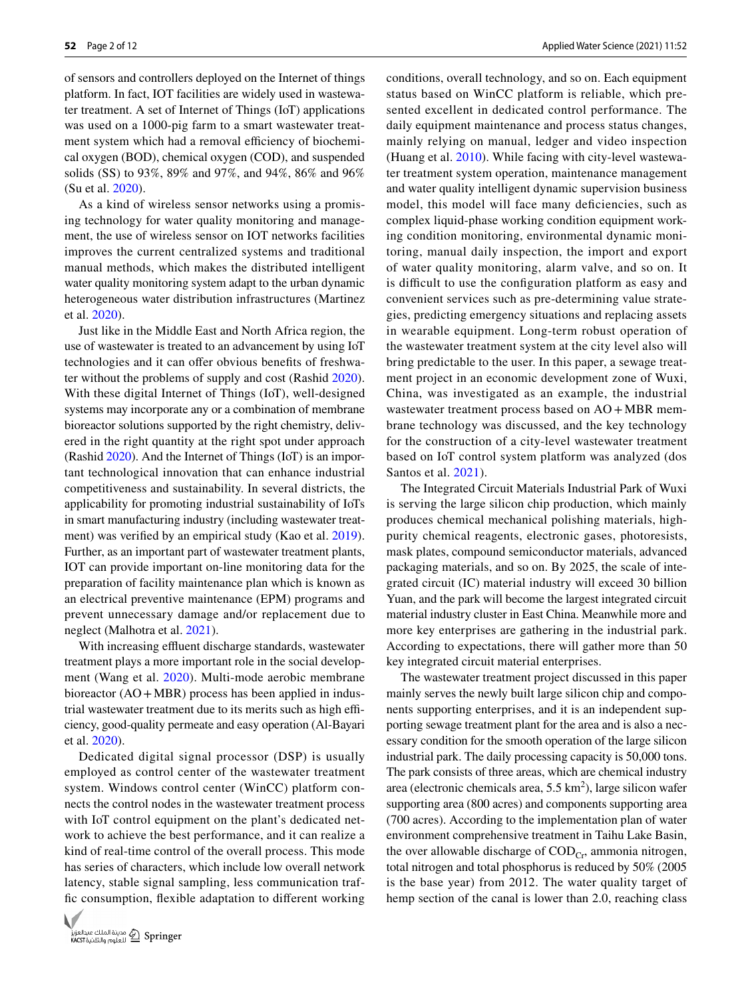of sensors and controllers deployed on the Internet of things platform. In fact, IOT facilities are widely used in wastewater treatment. A set of Internet of Things (IoT) applications was used on a 1000-pig farm to a smart wastewater treatment system which had a removal efficiency of biochemical oxygen (BOD), chemical oxygen (COD), and suspended solids (SS) to 93%, 89% and 97%, and 94%, 86% and 96% (Su et al. [2020\)](#page-11-1).

As a kind of wireless sensor networks using a promising technology for water quality monitoring and management, the use of wireless sensor on IOT networks facilities improves the current centralized systems and traditional manual methods, which makes the distributed intelligent water quality monitoring system adapt to the urban dynamic heterogeneous water distribution infrastructures (Martinez et al. [2020](#page-11-2)).

Just like in the Middle East and North Africa region, the use of wastewater is treated to an advancement by using IoT technologies and it can offer obvious benefits of freshwater without the problems of supply and cost (Rashid [2020](#page-11-3)). With these digital Internet of Things (IoT), well-designed systems may incorporate any or a combination of membrane bioreactor solutions supported by the right chemistry, delivered in the right quantity at the right spot under approach (Rashid [2020](#page-11-3)). And the Internet of Things (IoT) is an important technological innovation that can enhance industrial competitiveness and sustainability. In several districts, the applicability for promoting industrial sustainability of IoTs in smart manufacturing industry (including wastewater treatment) was verifed by an empirical study (Kao et al. [2019](#page-10-2)). Further, as an important part of wastewater treatment plants, IOT can provide important on-line monitoring data for the preparation of facility maintenance plan which is known as an electrical preventive maintenance (EPM) programs and prevent unnecessary damage and/or replacement due to neglect (Malhotra et al. [2021\)](#page-11-4).

With increasing effluent discharge standards, wastewater treatment plays a more important role in the social development (Wang et al. [2020](#page-11-5)). Multi-mode aerobic membrane bioreactor (AO+MBR) process has been applied in industrial wastewater treatment due to its merits such as high efficiency, good-quality permeate and easy operation (Al-Bayari et al. [2020](#page-10-3)).

Dedicated digital signal processor (DSP) is usually employed as control center of the wastewater treatment system. Windows control center (WinCC) platform connects the control nodes in the wastewater treatment process with IoT control equipment on the plant's dedicated network to achieve the best performance, and it can realize a kind of real-time control of the overall process. This mode has series of characters, which include low overall network latency, stable signal sampling, less communication traffc consumption, fexible adaptation to diferent working



conditions, overall technology, and so on. Each equipment status based on WinCC platform is reliable, which presented excellent in dedicated control performance. The daily equipment maintenance and process status changes, mainly relying on manual, ledger and video inspection (Huang et al. [2010\)](#page-10-0). While facing with city-level wastewater treatment system operation, maintenance management and water quality intelligent dynamic supervision business model, this model will face many deficiencies, such as complex liquid-phase working condition equipment working condition monitoring, environmental dynamic monitoring, manual daily inspection, the import and export of water quality monitoring, alarm valve, and so on. It is difficult to use the configuration platform as easy and convenient services such as pre-determining value strategies, predicting emergency situations and replacing assets in wearable equipment. Long-term robust operation of the wastewater treatment system at the city level also will bring predictable to the user. In this paper, a sewage treatment project in an economic development zone of Wuxi, China, was investigated as an example, the industrial wastewater treatment process based on AO + MBR membrane technology was discussed, and the key technology for the construction of a city-level wastewater treatment based on IoT control system platform was analyzed (dos Santos et al. [2021](#page-10-4)).

The Integrated Circuit Materials Industrial Park of Wuxi is serving the large silicon chip production, which mainly produces chemical mechanical polishing materials, highpurity chemical reagents, electronic gases, photoresists, mask plates, compound semiconductor materials, advanced packaging materials, and so on. By 2025, the scale of integrated circuit (IC) material industry will exceed 30 billion Yuan, and the park will become the largest integrated circuit material industry cluster in East China. Meanwhile more and more key enterprises are gathering in the industrial park. According to expectations, there will gather more than 50 key integrated circuit material enterprises.

The wastewater treatment project discussed in this paper mainly serves the newly built large silicon chip and components supporting enterprises, and it is an independent supporting sewage treatment plant for the area and is also a necessary condition for the smooth operation of the large silicon industrial park. The daily processing capacity is 50,000 tons. The park consists of three areas, which are chemical industry area (electronic chemicals area,  $5.5 \text{ km}^2$ ), large silicon wafer supporting area (800 acres) and components supporting area (700 acres). According to the implementation plan of water environment comprehensive treatment in Taihu Lake Basin, the over allowable discharge of  $\mathrm{COD}_{\mathrm{Cr}}$ , ammonia nitrogen, total nitrogen and total phosphorus is reduced by 50% (2005 is the base year) from 2012. The water quality target of hemp section of the canal is lower than 2.0, reaching class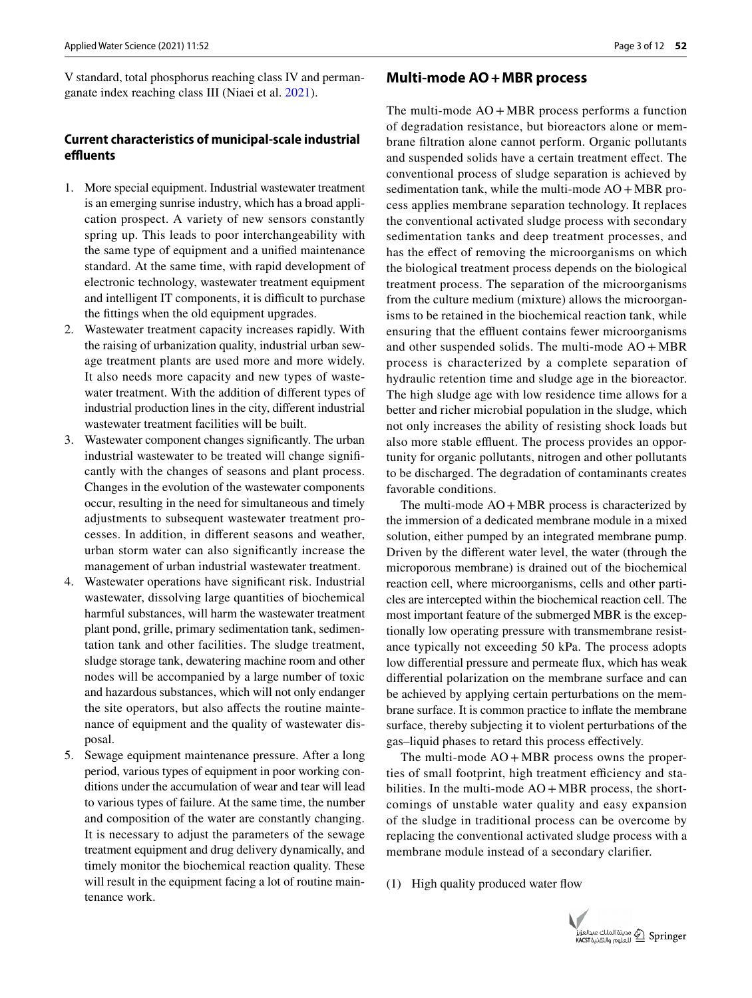V standard, total phosphorus reaching class IV and permanganate index reaching class III (Niaei et al. [2021](#page-11-6)).

## **Current characteristics of municipal‑scale industrial efuents**

- 1. More special equipment. Industrial wastewater treatment is an emerging sunrise industry, which has a broad application prospect. A variety of new sensors constantly spring up. This leads to poor interchangeability with the same type of equipment and a unifed maintenance standard. At the same time, with rapid development of electronic technology, wastewater treatment equipment and intelligent IT components, it is difficult to purchase the fttings when the old equipment upgrades.
- 2. Wastewater treatment capacity increases rapidly. With the raising of urbanization quality, industrial urban sewage treatment plants are used more and more widely. It also needs more capacity and new types of wastewater treatment. With the addition of diferent types of industrial production lines in the city, diferent industrial wastewater treatment facilities will be built.
- 3. Wastewater component changes signifcantly. The urban industrial wastewater to be treated will change signifcantly with the changes of seasons and plant process. Changes in the evolution of the wastewater components occur, resulting in the need for simultaneous and timely adjustments to subsequent wastewater treatment processes. In addition, in diferent seasons and weather, urban storm water can also signifcantly increase the management of urban industrial wastewater treatment.
- 4. Wastewater operations have signifcant risk. Industrial wastewater, dissolving large quantities of biochemical harmful substances, will harm the wastewater treatment plant pond, grille, primary sedimentation tank, sedimentation tank and other facilities. The sludge treatment, sludge storage tank, dewatering machine room and other nodes will be accompanied by a large number of toxic and hazardous substances, which will not only endanger the site operators, but also afects the routine maintenance of equipment and the quality of wastewater disposal.
- 5. Sewage equipment maintenance pressure. After a long period, various types of equipment in poor working conditions under the accumulation of wear and tear will lead to various types of failure. At the same time, the number and composition of the water are constantly changing. It is necessary to adjust the parameters of the sewage treatment equipment and drug delivery dynamically, and timely monitor the biochemical reaction quality. These will result in the equipment facing a lot of routine maintenance work.

## **Multi‑mode AO+MBR process**

The multi-mode  $AO + MBR$  process performs a function of degradation resistance, but bioreactors alone or membrane fltration alone cannot perform. Organic pollutants and suspended solids have a certain treatment efect. The conventional process of sludge separation is achieved by sedimentation tank, while the multi-mode  $AO + MBR$  process applies membrane separation technology. It replaces the conventional activated sludge process with secondary sedimentation tanks and deep treatment processes, and has the efect of removing the microorganisms on which the biological treatment process depends on the biological treatment process. The separation of the microorganisms from the culture medium (mixture) allows the microorganisms to be retained in the biochemical reaction tank, while ensuring that the effluent contains fewer microorganisms and other suspended solids. The multi-mode  $AO + MBR$ process is characterized by a complete separation of hydraulic retention time and sludge age in the bioreactor. The high sludge age with low residence time allows for a better and richer microbial population in the sludge, which not only increases the ability of resisting shock loads but also more stable effluent. The process provides an opportunity for organic pollutants, nitrogen and other pollutants to be discharged. The degradation of contaminants creates favorable conditions.

The multi-mode  $AO + MBR$  process is characterized by the immersion of a dedicated membrane module in a mixed solution, either pumped by an integrated membrane pump. Driven by the diferent water level, the water (through the microporous membrane) is drained out of the biochemical reaction cell, where microorganisms, cells and other particles are intercepted within the biochemical reaction cell. The most important feature of the submerged MBR is the exceptionally low operating pressure with transmembrane resistance typically not exceeding 50 kPa. The process adopts low diferential pressure and permeate fux, which has weak diferential polarization on the membrane surface and can be achieved by applying certain perturbations on the membrane surface. It is common practice to infate the membrane surface, thereby subjecting it to violent perturbations of the gas–liquid phases to retard this process efectively.

The multi-mode  $AO + MBR$  process owns the properties of small footprint, high treatment efficiency and stabilities. In the multi-mode  $AO + MBR$  process, the shortcomings of unstable water quality and easy expansion of the sludge in traditional process can be overcome by replacing the conventional activated sludge process with a membrane module instead of a secondary clarifer.

(1) High quality produced water fow

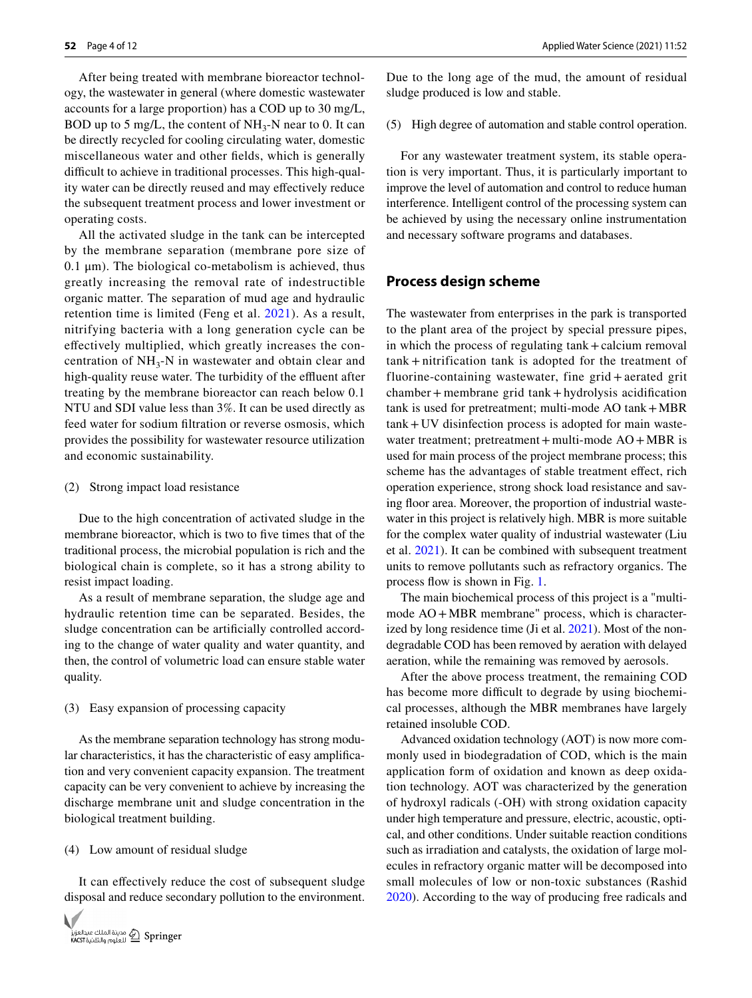After being treated with membrane bioreactor technology, the wastewater in general (where domestic wastewater accounts for a large proportion) has a COD up to 30 mg/L, BOD up to 5 mg/L, the content of  $NH_3-N$  near to 0. It can be directly recycled for cooling circulating water, domestic miscellaneous water and other felds, which is generally difficult to achieve in traditional processes. This high-quality water can be directly reused and may efectively reduce the subsequent treatment process and lower investment or operating costs.

All the activated sludge in the tank can be intercepted by the membrane separation (membrane pore size of  $0.1 \mu$ m). The biological co-metabolism is achieved, thus greatly increasing the removal rate of indestructible organic matter. The separation of mud age and hydraulic retention time is limited (Feng et al. [2021\)](#page-10-5). As a result, nitrifying bacteria with a long generation cycle can be efectively multiplied, which greatly increases the concentration of  $NH<sub>3</sub>-N$  in wastewater and obtain clear and high-quality reuse water. The turbidity of the effluent after treating by the membrane bioreactor can reach below 0.1 NTU and SDI value less than 3%. It can be used directly as feed water for sodium fltration or reverse osmosis, which provides the possibility for wastewater resource utilization and economic sustainability.

#### (2) Strong impact load resistance

Due to the high concentration of activated sludge in the membrane bioreactor, which is two to fve times that of the traditional process, the microbial population is rich and the biological chain is complete, so it has a strong ability to resist impact loading.

As a result of membrane separation, the sludge age and hydraulic retention time can be separated. Besides, the sludge concentration can be artifcially controlled according to the change of water quality and water quantity, and then, the control of volumetric load can ensure stable water quality.

#### (3) Easy expansion of processing capacity

As the membrane separation technology has strong modular characteristics, it has the characteristic of easy amplifcation and very convenient capacity expansion. The treatment capacity can be very convenient to achieve by increasing the discharge membrane unit and sludge concentration in the biological treatment building.

#### (4) Low amount of residual sludge

It can efectively reduce the cost of subsequent sludge disposal and reduce secondary pollution to the environment.



Due to the long age of the mud, the amount of residual sludge produced is low and stable.

(5) High degree of automation and stable control operation.

For any wastewater treatment system, its stable operation is very important. Thus, it is particularly important to improve the level of automation and control to reduce human interference. Intelligent control of the processing system can be achieved by using the necessary online instrumentation and necessary software programs and databases.

### **Process design scheme**

The wastewater from enterprises in the park is transported to the plant area of the project by special pressure pipes, in which the process of regulating tank+calcium removal tank + nitrification tank is adopted for the treatment of fluorine-containing wastewater, fine grid + aerated grit chamber+ membrane grid tank+hydrolysis acidifcation tank is used for pretreatment; multi-mode  $AO$  tank  $+MBR$ tank+ UV disinfection process is adopted for main wastewater treatment; pretreatment + multi-mode AO + MBR is used for main process of the project membrane process; this scheme has the advantages of stable treatment efect, rich operation experience, strong shock load resistance and saving floor area. Moreover, the proportion of industrial wastewater in this project is relatively high. MBR is more suitable for the complex water quality of industrial wastewater (Liu et al. [2021\)](#page-11-7). It can be combined with subsequent treatment units to remove pollutants such as refractory organics. The process flow is shown in Fig. [1.](#page-4-0)

The main biochemical process of this project is a "multimode AO+MBR membrane" process, which is character-ized by long residence time (Ji et al. [2021](#page-10-6)). Most of the nondegradable COD has been removed by aeration with delayed aeration, while the remaining was removed by aerosols.

After the above process treatment, the remaining COD has become more difficult to degrade by using biochemical processes, although the MBR membranes have largely retained insoluble COD.

Advanced oxidation technology (AOT) is now more commonly used in biodegradation of COD, which is the main application form of oxidation and known as deep oxidation technology. AOT was characterized by the generation of hydroxyl radicals (-OH) with strong oxidation capacity under high temperature and pressure, electric, acoustic, optical, and other conditions. Under suitable reaction conditions such as irradiation and catalysts, the oxidation of large molecules in refractory organic matter will be decomposed into small molecules of low or non-toxic substances (Rashid [2020](#page-11-3)). According to the way of producing free radicals and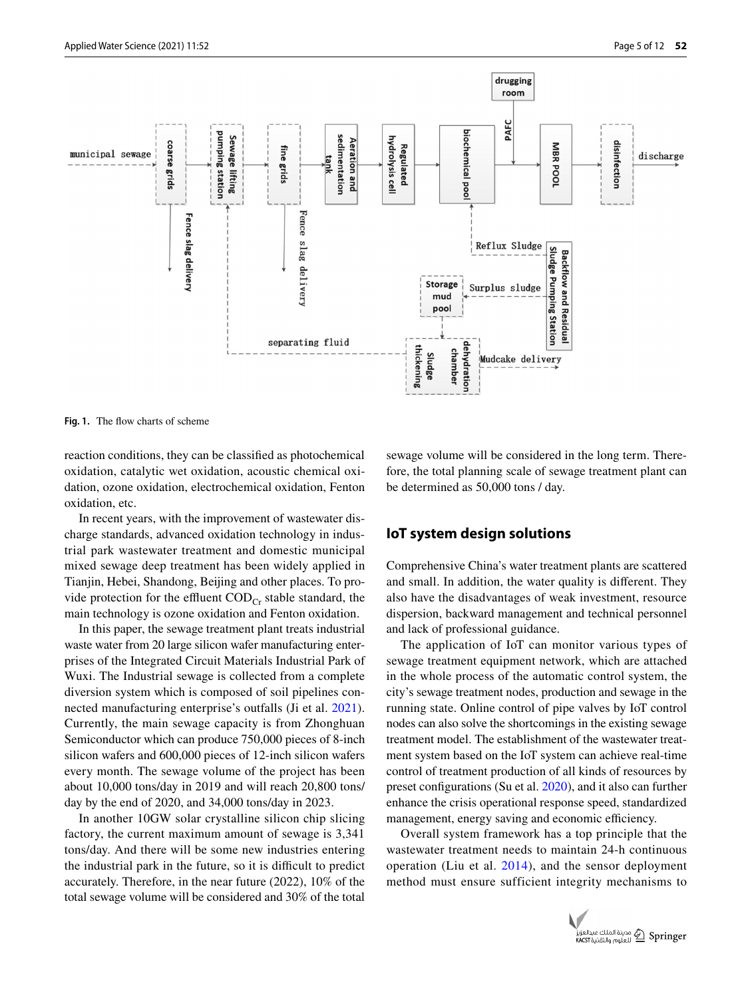

<span id="page-4-0"></span>Fig. 1. The flow charts of scheme

reaction conditions, they can be classifed as photochemical oxidation, catalytic wet oxidation, acoustic chemical oxidation, ozone oxidation, electrochemical oxidation, Fenton oxidation, etc.

In recent years, with the improvement of wastewater discharge standards, advanced oxidation technology in industrial park wastewater treatment and domestic municipal mixed sewage deep treatment has been widely applied in Tianjin, Hebei, Shandong, Beijing and other places. To provide protection for the effluent  $\text{COD}_{\text{Cr}}$  stable standard, the main technology is ozone oxidation and Fenton oxidation.

In this paper, the sewage treatment plant treats industrial waste water from 20 large silicon wafer manufacturing enterprises of the Integrated Circuit Materials Industrial Park of Wuxi. The Industrial sewage is collected from a complete diversion system which is composed of soil pipelines connected manufacturing enterprise's outfalls (Ji et al. [2021](#page-10-6)). Currently, the main sewage capacity is from Zhonghuan Semiconductor which can produce 750,000 pieces of 8-inch silicon wafers and 600,000 pieces of 12-inch silicon wafers every month. The sewage volume of the project has been about 10,000 tons/day in 2019 and will reach 20,800 tons/ day by the end of 2020, and 34,000 tons/day in 2023.

In another 10GW solar crystalline silicon chip slicing factory, the current maximum amount of sewage is 3,341 tons/day. And there will be some new industries entering the industrial park in the future, so it is difficult to predict accurately. Therefore, in the near future (2022), 10% of the total sewage volume will be considered and 30% of the total

sewage volume will be considered in the long term. Therefore, the total planning scale of sewage treatment plant can be determined as 50,000 tons / day.

## **IoT system design solutions**

Comprehensive China's water treatment plants are scattered and small. In addition, the water quality is diferent. They also have the disadvantages of weak investment, resource dispersion, backward management and technical personnel and lack of professional guidance.

The application of IoT can monitor various types of sewage treatment equipment network, which are attached in the whole process of the automatic control system, the city's sewage treatment nodes, production and sewage in the running state. Online control of pipe valves by IoT control nodes can also solve the shortcomings in the existing sewage treatment model. The establishment of the wastewater treatment system based on the IoT system can achieve real-time control of treatment production of all kinds of resources by preset confgurations (Su et al. [2020](#page-11-1)), and it also can further enhance the crisis operational response speed, standardized management, energy saving and economic efficiency.

Overall system framework has a top principle that the wastewater treatment needs to maintain 24-h continuous operation (Liu et al. [2014](#page-11-8)), and the sensor deployment method must ensure sufficient integrity mechanisms to

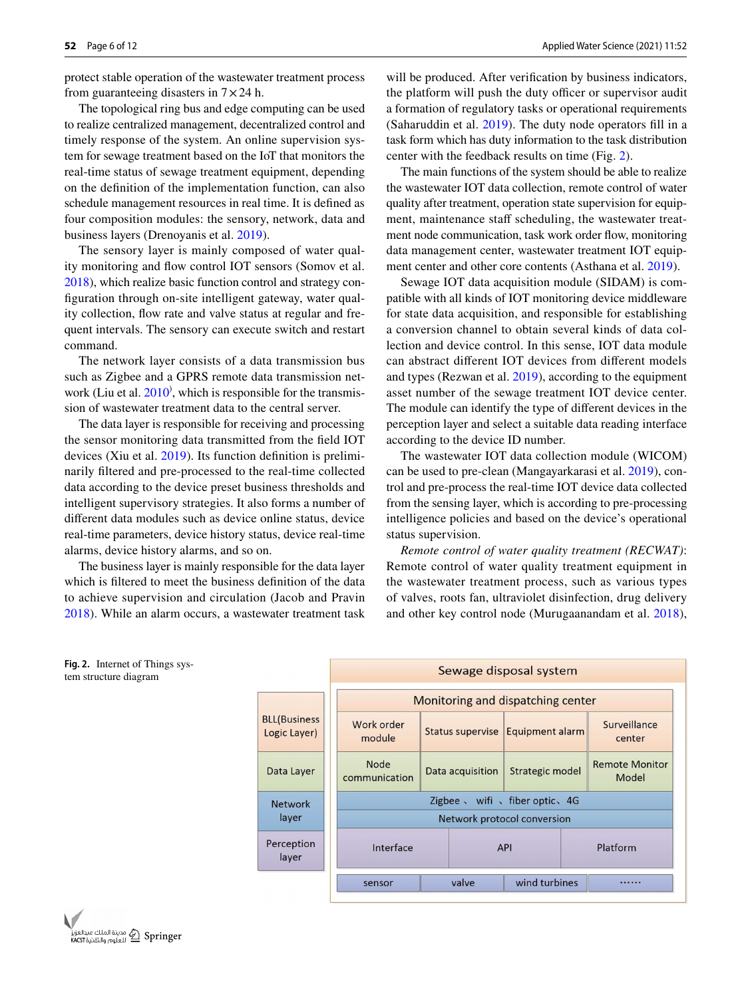protect stable operation of the wastewater treatment process from guaranteeing disasters in  $7 \times 24$  h.

The topological ring bus and edge computing can be used to realize centralized management, decentralized control and timely response of the system. An online supervision system for sewage treatment based on the IoT that monitors the real-time status of sewage treatment equipment, depending on the defnition of the implementation function, can also schedule management resources in real time. It is defned as four composition modules: the sensory, network, data and business layers (Drenoyanis et al. [2019](#page-10-7)).

The sensory layer is mainly composed of water quality monitoring and fow control IOT sensors (Somov et al. [2018\)](#page-11-9), which realize basic function control and strategy confguration through on-site intelligent gateway, water quality collection, fow rate and valve status at regular and frequent intervals. The sensory can execute switch and restart command.

The network layer consists of a data transmission bus such as Zigbee and a GPRS remote data transmission network (Liu et al.  $2010$ ), which is responsible for the transmission of wastewater treatment data to the central server.

The data layer is responsible for receiving and processing the sensor monitoring data transmitted from the feld IOT devices (Xiu et al. [2019\)](#page-11-10). Its function defnition is preliminarily fltered and pre-processed to the real-time collected data according to the device preset business thresholds and intelligent supervisory strategies. It also forms a number of diferent data modules such as device online status, device real-time parameters, device history status, device real-time alarms, device history alarms, and so on.

The business layer is mainly responsible for the data layer which is fltered to meet the business defnition of the data to achieve supervision and circulation (Jacob and Pravin [2018](#page-10-9)). While an alarm occurs, a wastewater treatment task

will be produced. After verifcation by business indicators, the platform will push the duty officer or supervisor audit a formation of regulatory tasks or operational requirements (Saharuddin et al. [2019\)](#page-11-11). The duty node operators fll in a task form which has duty information to the task distribution center with the feedback results on time (Fig. [2\)](#page-5-0).

The main functions of the system should be able to realize the wastewater IOT data collection, remote control of water quality after treatment, operation state supervision for equipment, maintenance staff scheduling, the wastewater treatment node communication, task work order flow, monitoring data management center, wastewater treatment IOT equipment center and other core contents (Asthana et al. [2019](#page-10-10)).

Sewage IOT data acquisition module (SIDAM) is compatible with all kinds of IOT monitoring device middleware for state data acquisition, and responsible for establishing a conversion channel to obtain several kinds of data collection and device control. In this sense, IOT data module can abstract diferent IOT devices from diferent models and types (Rezwan et al. [2019](#page-11-12)), according to the equipment asset number of the sewage treatment IOT device center. The module can identify the type of diferent devices in the perception layer and select a suitable data reading interface according to the device ID number.

The wastewater IOT data collection module (WICOM) can be used to pre-clean (Mangayarkarasi et al. [2019](#page-11-13)), control and pre-process the real-time IOT device data collected from the sensing layer, which is according to pre-processing intelligence policies and based on the device's operational status supervision.

*Remote control of water quality treatment (RECWAT)*: Remote control of water quality treatment equipment in the wastewater treatment process, such as various types of valves, roots fan, ultraviolet disinfection, drug delivery and other key control node (Murugaanandam et al. [2018](#page-11-14)),



<span id="page-5-0"></span>

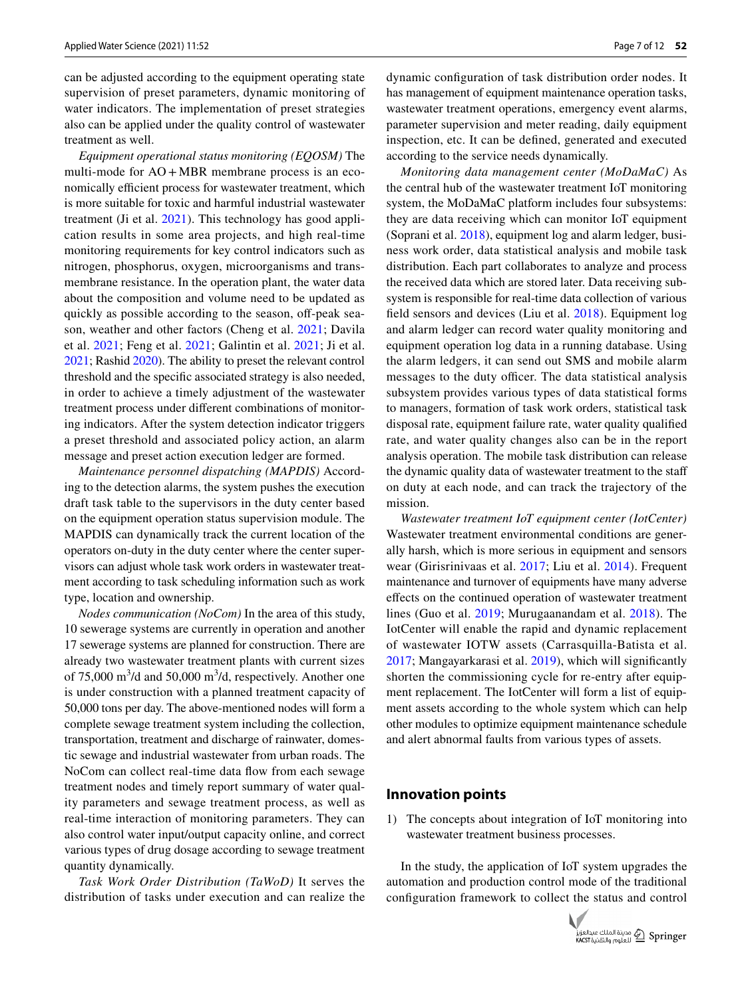can be adjusted according to the equipment operating state supervision of preset parameters, dynamic monitoring of water indicators. The implementation of preset strategies also can be applied under the quality control of wastewater treatment as well.

*Equipment operational status monitoring (EQOSM)* The multi-mode for  $AO + MBR$  membrane process is an economically efficient process for wastewater treatment, which is more suitable for toxic and harmful industrial wastewater treatment (Ji et al. [2021](#page-10-6)). This technology has good application results in some area projects, and high real-time monitoring requirements for key control indicators such as nitrogen, phosphorus, oxygen, microorganisms and transmembrane resistance. In the operation plant, the water data about the composition and volume need to be updated as quickly as possible according to the season, off-peak season, weather and other factors (Cheng et al. [2021](#page-10-11); Davila et al. [2021;](#page-10-12) Feng et al. [2021](#page-10-5); Galintin et al. [2021;](#page-10-13) Ji et al. [2021;](#page-10-6) Rashid [2020](#page-11-3)). The ability to preset the relevant control threshold and the specifc associated strategy is also needed, in order to achieve a timely adjustment of the wastewater treatment process under diferent combinations of monitoring indicators. After the system detection indicator triggers a preset threshold and associated policy action, an alarm message and preset action execution ledger are formed.

*Maintenance personnel dispatching (MAPDIS)* According to the detection alarms, the system pushes the execution draft task table to the supervisors in the duty center based on the equipment operation status supervision module. The MAPDIS can dynamically track the current location of the operators on-duty in the duty center where the center supervisors can adjust whole task work orders in wastewater treatment according to task scheduling information such as work type, location and ownership.

*Nodes communication (NoCom)* In the area of this study, 10 sewerage systems are currently in operation and another 17 sewerage systems are planned for construction. There are already two wastewater treatment plants with current sizes of 75,000  $\text{m}^3$ /d and 50,000  $\text{m}^3$ /d, respectively. Another one is under construction with a planned treatment capacity of 50,000 tons per day. The above-mentioned nodes will form a complete sewage treatment system including the collection, transportation, treatment and discharge of rainwater, domestic sewage and industrial wastewater from urban roads. The NoCom can collect real-time data flow from each sewage treatment nodes and timely report summary of water quality parameters and sewage treatment process, as well as real-time interaction of monitoring parameters. They can also control water input/output capacity online, and correct various types of drug dosage according to sewage treatment quantity dynamically.

*Task Work Order Distribution (TaWoD)* It serves the distribution of tasks under execution and can realize the dynamic confguration of task distribution order nodes. It has management of equipment maintenance operation tasks, wastewater treatment operations, emergency event alarms, parameter supervision and meter reading, daily equipment inspection, etc. It can be defned, generated and executed according to the service needs dynamically.

*Monitoring data management center (MoDaMaC)* As the central hub of the wastewater treatment IoT monitoring system, the MoDaMaC platform includes four subsystems: they are data receiving which can monitor IoT equipment (Soprani et al. [2018\)](#page-11-15), equipment log and alarm ledger, business work order, data statistical analysis and mobile task distribution. Each part collaborates to analyze and process the received data which are stored later. Data receiving subsystem is responsible for real-time data collection of various feld sensors and devices (Liu et al. [2018](#page-11-16)). Equipment log and alarm ledger can record water quality monitoring and equipment operation log data in a running database. Using the alarm ledgers, it can send out SMS and mobile alarm messages to the duty officer. The data statistical analysis subsystem provides various types of data statistical forms to managers, formation of task work orders, statistical task disposal rate, equipment failure rate, water quality qualifed rate, and water quality changes also can be in the report analysis operation. The mobile task distribution can release the dynamic quality data of wastewater treatment to the staf on duty at each node, and can track the trajectory of the mission.

*Wastewater treatment IoT equipment center (IotCenter)* Wastewater treatment environmental conditions are generally harsh, which is more serious in equipment and sensors wear (Girisrinivaas et al. [2017](#page-10-14); Liu et al. [2014](#page-11-8)). Frequent maintenance and turnover of equipments have many adverse efects on the continued operation of wastewater treatment lines (Guo et al. [2019;](#page-10-15) Murugaanandam et al. [2018](#page-11-14)). The IotCenter will enable the rapid and dynamic replacement of wastewater IOTW assets (Carrasquilla-Batista et al. [2017](#page-10-16); Mangayarkarasi et al. [2019\)](#page-11-13), which will signifcantly shorten the commissioning cycle for re-entry after equipment replacement. The IotCenter will form a list of equipment assets according to the whole system which can help other modules to optimize equipment maintenance schedule and alert abnormal faults from various types of assets.

#### **Innovation points**

1) The concepts about integration of IoT monitoring into wastewater treatment business processes.

In the study, the application of IoT system upgrades the automation and production control mode of the traditional confguration framework to collect the status and control

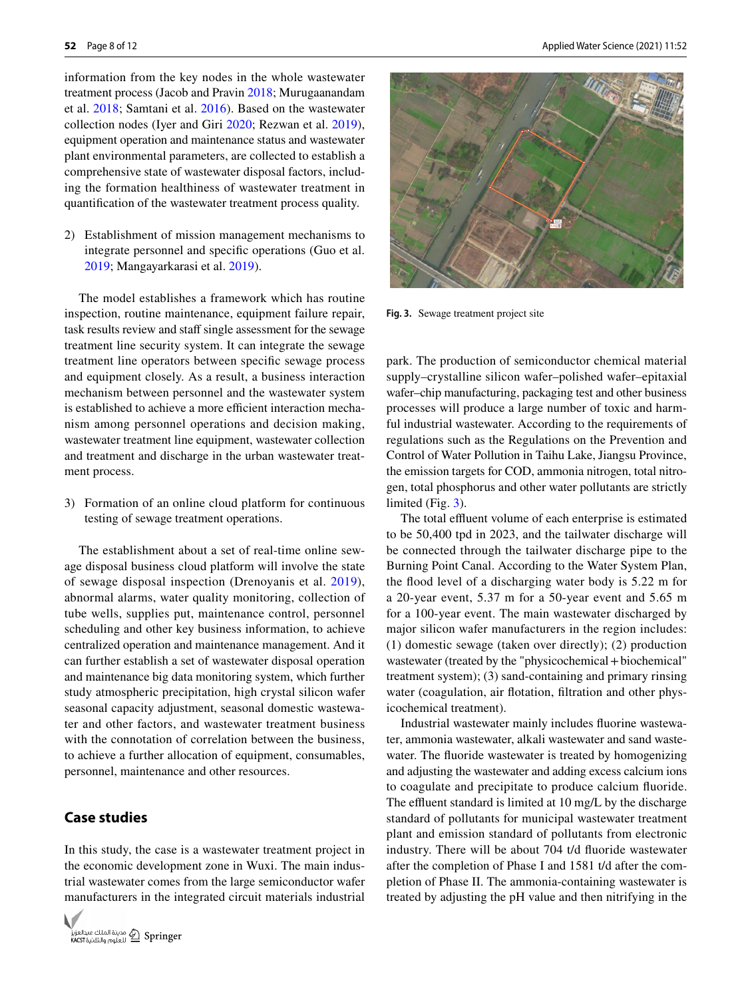information from the key nodes in the whole wastewater treatment process (Jacob and Pravin [2018](#page-10-9); Murugaanandam et al. [2018](#page-11-14); Samtani et al. [2016](#page-11-17)). Based on the wastewater collection nodes (Iyer and Giri [2020;](#page-10-17) Rezwan et al. [2019](#page-11-12)), equipment operation and maintenance status and wastewater plant environmental parameters, are collected to establish a comprehensive state of wastewater disposal factors, including the formation healthiness of wastewater treatment in quantifcation of the wastewater treatment process quality.

2) Establishment of mission management mechanisms to integrate personnel and specifc operations (Guo et al. [2019](#page-10-15); Mangayarkarasi et al. [2019\)](#page-11-13).

The model establishes a framework which has routine inspection, routine maintenance, equipment failure repair, task results review and staff single assessment for the sewage treatment line security system. It can integrate the sewage treatment line operators between specifc sewage process and equipment closely. As a result, a business interaction mechanism between personnel and the wastewater system is established to achieve a more efficient interaction mechanism among personnel operations and decision making, wastewater treatment line equipment, wastewater collection and treatment and discharge in the urban wastewater treatment process.

3) Formation of an online cloud platform for continuous testing of sewage treatment operations.

The establishment about a set of real-time online sewage disposal business cloud platform will involve the state of sewage disposal inspection (Drenoyanis et al. [2019](#page-10-7)), abnormal alarms, water quality monitoring, collection of tube wells, supplies put, maintenance control, personnel scheduling and other key business information, to achieve centralized operation and maintenance management. And it can further establish a set of wastewater disposal operation and maintenance big data monitoring system, which further study atmospheric precipitation, high crystal silicon wafer seasonal capacity adjustment, seasonal domestic wastewater and other factors, and wastewater treatment business with the connotation of correlation between the business, to achieve a further allocation of equipment, consumables, personnel, maintenance and other resources.

## **Case studies**

In this study, the case is a wastewater treatment project in the economic development zone in Wuxi. The main industrial wastewater comes from the large semiconductor wafer manufacturers in the integrated circuit materials industrial





<span id="page-7-0"></span>**Fig. 3.** Sewage treatment project site

park. The production of semiconductor chemical material supply–crystalline silicon wafer–polished wafer–epitaxial wafer–chip manufacturing, packaging test and other business processes will produce a large number of toxic and harmful industrial wastewater. According to the requirements of regulations such as the Regulations on the Prevention and Control of Water Pollution in Taihu Lake, Jiangsu Province, the emission targets for COD, ammonia nitrogen, total nitrogen, total phosphorus and other water pollutants are strictly limited (Fig. [3](#page-7-0)).

The total effluent volume of each enterprise is estimated to be 50,400 tpd in 2023, and the tailwater discharge will be connected through the tailwater discharge pipe to the Burning Point Canal. According to the Water System Plan, the flood level of a discharging water body is 5.22 m for a 20-year event, 5.37 m for a 50-year event and 5.65 m for a 100-year event. The main wastewater discharged by major silicon wafer manufacturers in the region includes: (1) domestic sewage (taken over directly); (2) production wastewater (treated by the "physicochemical+biochemical" treatment system); (3) sand-containing and primary rinsing water (coagulation, air fotation, fltration and other physicochemical treatment).

Industrial wastewater mainly includes fuorine wastewater, ammonia wastewater, alkali wastewater and sand wastewater. The fuoride wastewater is treated by homogenizing and adjusting the wastewater and adding excess calcium ions to coagulate and precipitate to produce calcium fuoride. The effluent standard is limited at 10 mg/L by the discharge standard of pollutants for municipal wastewater treatment plant and emission standard of pollutants from electronic industry. There will be about 704 t/d fuoride wastewater after the completion of Phase I and 1581 t/d after the completion of Phase II. The ammonia-containing wastewater is treated by adjusting the pH value and then nitrifying in the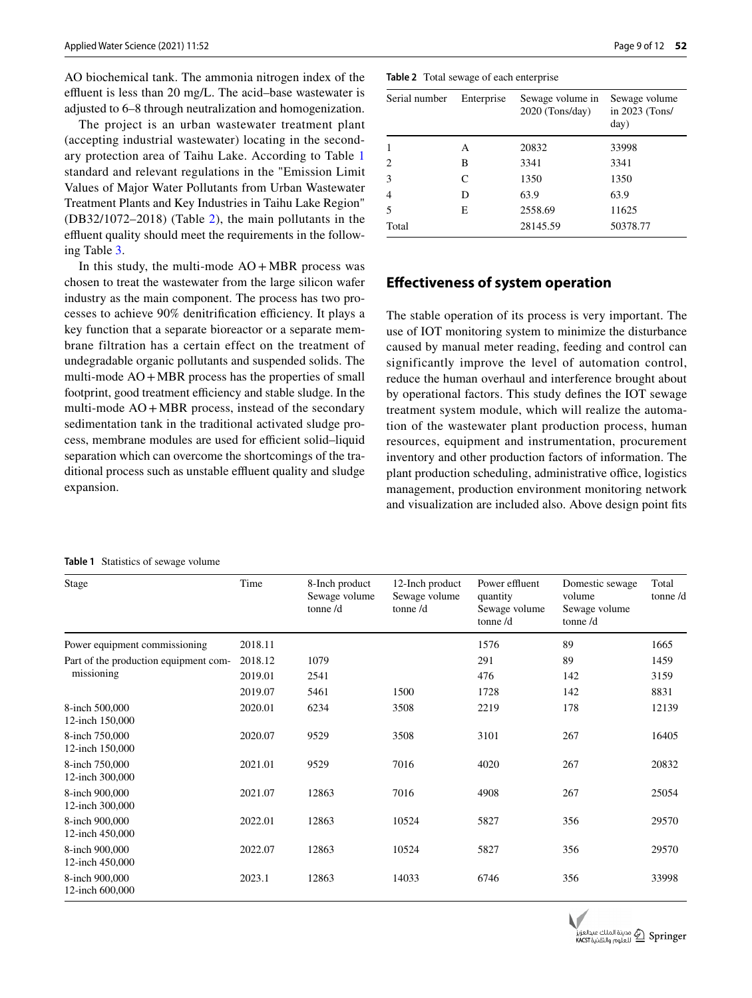Applied Water Science (2021) 11:52

AO biochemical tank. The ammonia nitrogen index of the effluent is less than 20 mg/L. The acid–base wastewater is adjusted to 6–8 through neutralization and homogenization.

The project is an urban wastewater treatment plant (accepting industrial wastewater) locating in the secondary protection area of Taihu Lake. According to Table [1](#page-8-0) standard and relevant regulations in the "Emission Limit Values of Major Water Pollutants from Urban Wastewater Treatment Plants and Key Industries in Taihu Lake Region" (DB32/1072–2018) (Table [2\)](#page-8-1), the main pollutants in the effluent quality should meet the requirements in the following Table [3](#page-9-0).

In this study, the multi-mode  $AO + MBR$  process was chosen to treat the wastewater from the large silicon wafer industry as the main component. The process has two processes to achieve 90% denitrification efficiency. It plays a key function that a separate bioreactor or a separate membrane filtration has a certain effect on the treatment of undegradable organic pollutants and suspended solids. The multi-mode AO+MBR process has the properties of small footprint, good treatment efficiency and stable sludge. In the multi-mode  $AO + MBR$  process, instead of the secondary sedimentation tank in the traditional activated sludge process, membrane modules are used for efficient solid-liquid separation which can overcome the shortcomings of the traditional process such as unstable effluent quality and sludge expansion.

#### <span id="page-8-0"></span>**Table 1** Statistics of sewage volume

<span id="page-8-1"></span>

| Serial number | Enterprise | Sewage volume in<br>$2020$ (Tons/day) | Sewage volume<br>in 2023 (Tons/<br>day) |  |  |
|---------------|------------|---------------------------------------|-----------------------------------------|--|--|
|               | А          | 20832                                 | 33998                                   |  |  |
| 2             | B          | 3341                                  | 3341                                    |  |  |
| 3             | C          | 1350                                  | 1350                                    |  |  |
| 4             | D          | 63.9                                  | 63.9                                    |  |  |
| 5             | E          | 2558.69                               | 11625                                   |  |  |
| Total         |            | 28145.59                              | 50378.77                                |  |  |
|               |            |                                       |                                         |  |  |

## **Efectiveness of system operation**

The stable operation of its process is very important. The use of IOT monitoring system to minimize the disturbance caused by manual meter reading, feeding and control can significantly improve the level of automation control, reduce the human overhaul and interference brought about by operational factors. This study defnes the IOT sewage treatment system module, which will realize the automation of the wastewater plant production process, human resources, equipment and instrumentation, procurement inventory and other production factors of information. The plant production scheduling, administrative office, logistics management, production environment monitoring network and visualization are included also. Above design point fts

| Stage                                 | Time    | 8-Inch product<br>Sewage volume<br>tonne $/d$ | 12-Inch product<br>Sewage volume<br>tonne $/d$ | Power effluent<br>quantity<br>Sewage volume<br>tonne $/d$ | Domestic sewage<br>volume<br>Sewage volume<br>tonne $/d$ | Total<br>tonne $/d$ |
|---------------------------------------|---------|-----------------------------------------------|------------------------------------------------|-----------------------------------------------------------|----------------------------------------------------------|---------------------|
| Power equipment commissioning         | 2018.11 |                                               |                                                | 1576                                                      | 89                                                       | 1665                |
| Part of the production equipment com- | 2018.12 | 1079                                          |                                                | 291                                                       | 89                                                       | 1459                |
| missioning                            | 2019.01 | 2541                                          |                                                | 476                                                       | 142                                                      | 3159                |
|                                       | 2019.07 | 5461                                          | 1500                                           | 1728                                                      | 142                                                      | 8831                |
| 8-inch 500,000<br>12-inch 150,000     | 2020.01 | 6234                                          | 3508                                           | 2219                                                      | 178                                                      | 12139               |
| 8-inch 750,000<br>12-inch 150,000     | 2020.07 | 9529                                          | 3508                                           | 3101                                                      | 267                                                      | 16405               |
| 8-inch 750,000<br>12-inch 300,000     | 2021.01 | 9529                                          | 7016                                           | 4020                                                      | 267                                                      | 20832               |
| 8-inch 900,000<br>12-inch 300,000     | 2021.07 | 12863                                         | 7016                                           | 4908                                                      | 267                                                      | 25054               |
| 8-inch 900,000<br>12-inch 450,000     | 2022.01 | 12863                                         | 10524                                          | 5827                                                      | 356                                                      | 29570               |
| 8-inch 900,000<br>12-inch 450,000     | 2022.07 | 12863                                         | 10524                                          | 5827                                                      | 356                                                      | 29570               |
| 8-inch 900,000<br>12-inch 600,000     | 2023.1  | 12863                                         | 14033                                          | 6746                                                      | 356                                                      | 33998               |

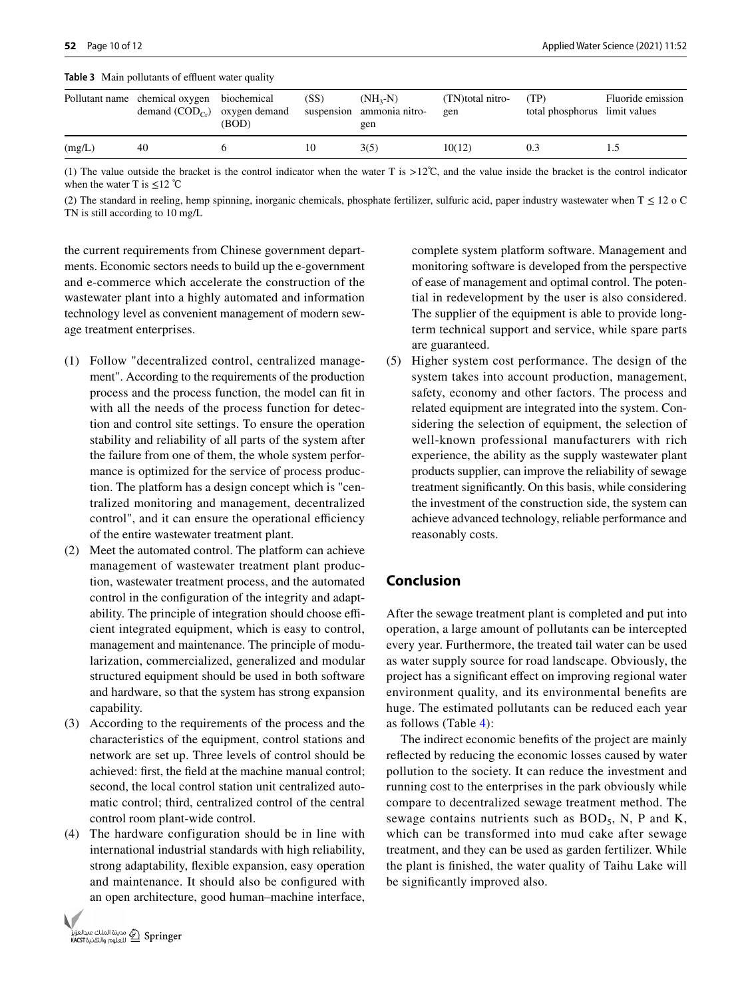<span id="page-9-0"></span>**Table 3** Main pollutants of effluent water quality

|        | Pollutant name chemical oxygen biochemical<br>demand $(COD_{Cr})$ oxygen demand | (BOD) | (SS) | $(NH_2-N)$<br>suspension ammonia nitro-<br>gen | (TN)total nitro-<br>gen | (TP)<br>total phosphorus limit values | Fluoride emission |
|--------|---------------------------------------------------------------------------------|-------|------|------------------------------------------------|-------------------------|---------------------------------------|-------------------|
| (mg/L) | 40                                                                              |       | 10   | 3(5)                                           | 10(12)                  | 0.3                                   |                   |

(1) The value outside the bracket is the control indicator when the water T is >12℃, and the value inside the bracket is the control indicator when the water T is  $\leq 12$  °C

(2) The standard in reeling, hemp spinning, inorganic chemicals, phosphate fertilizer, sulfuric acid, paper industry wastewater when  $T \le 12$  o C TN is still according to 10 mg/L

the current requirements from Chinese government departments. Economic sectors needs to build up the e-government and e-commerce which accelerate the construction of the wastewater plant into a highly automated and information technology level as convenient management of modern sewage treatment enterprises.

- (1) Follow "decentralized control, centralized management". According to the requirements of the production process and the process function, the model can ft in with all the needs of the process function for detection and control site settings. To ensure the operation stability and reliability of all parts of the system after the failure from one of them, the whole system performance is optimized for the service of process production. The platform has a design concept which is "centralized monitoring and management, decentralized control", and it can ensure the operational efficiency of the entire wastewater treatment plant.
- (2) Meet the automated control. The platform can achieve management of wastewater treatment plant production, wastewater treatment process, and the automated control in the confguration of the integrity and adaptability. The principle of integration should choose efficient integrated equipment, which is easy to control, management and maintenance. The principle of modularization, commercialized, generalized and modular structured equipment should be used in both software and hardware, so that the system has strong expansion capability.
- (3) According to the requirements of the process and the characteristics of the equipment, control stations and network are set up. Three levels of control should be achieved: frst, the feld at the machine manual control; second, the local control station unit centralized automatic control; third, centralized control of the central control room plant-wide control.
- (4) The hardware configuration should be in line with international industrial standards with high reliability, strong adaptability, fexible expansion, easy operation and maintenance. It should also be confgured with an open architecture, good human–machine interface,



complete system platform software. Management and monitoring software is developed from the perspective of ease of management and optimal control. The potential in redevelopment by the user is also considered. The supplier of the equipment is able to provide longterm technical support and service, while spare parts are guaranteed.

(5) Higher system cost performance. The design of the system takes into account production, management, safety, economy and other factors. The process and related equipment are integrated into the system. Considering the selection of equipment, the selection of well-known professional manufacturers with rich experience, the ability as the supply wastewater plant products supplier, can improve the reliability of sewage treatment signifcantly. On this basis, while considering the investment of the construction side, the system can achieve advanced technology, reliable performance and reasonably costs.

# **Conclusion**

After the sewage treatment plant is completed and put into operation, a large amount of pollutants can be intercepted every year. Furthermore, the treated tail water can be used as water supply source for road landscape. Obviously, the project has a signifcant efect on improving regional water environment quality, and its environmental benefts are huge. The estimated pollutants can be reduced each year as follows (Table [4](#page-10-18)):

The indirect economic benefts of the project are mainly refected by reducing the economic losses caused by water pollution to the society. It can reduce the investment and running cost to the enterprises in the park obviously while compare to decentralized sewage treatment method. The sewage contains nutrients such as  $BOD<sub>5</sub>$ , N, P and K, which can be transformed into mud cake after sewage treatment, and they can be used as garden fertilizer. While the plant is fnished, the water quality of Taihu Lake will be signifcantly improved also.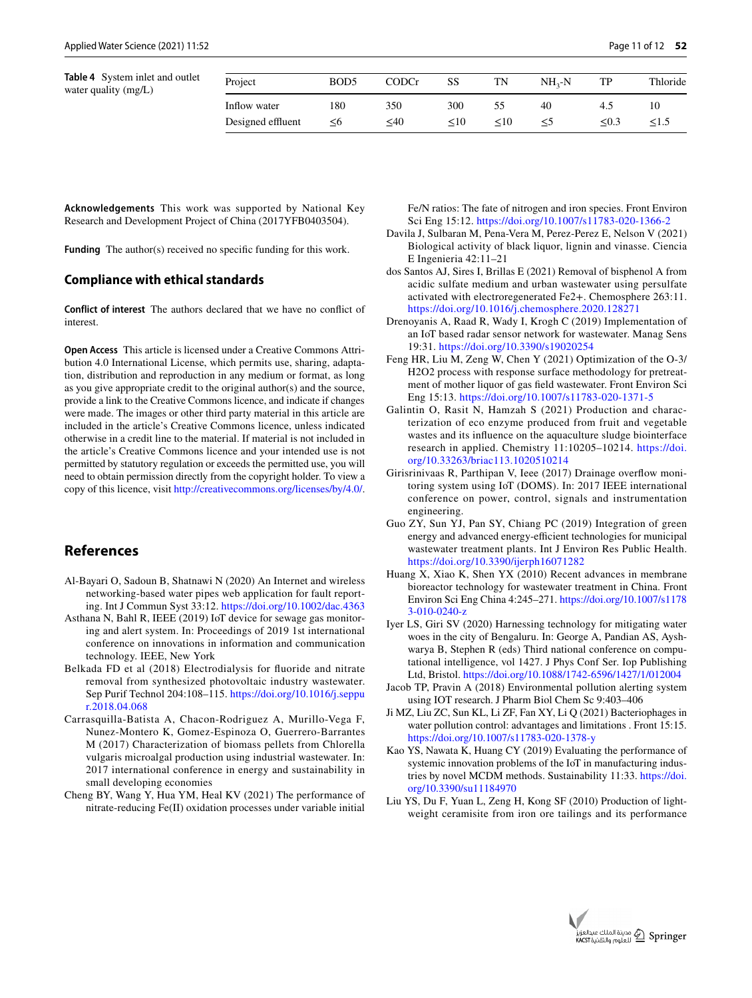<span id="page-10-18"></span>

| Table 4 System inlet and outlet<br>water quality (mg/L) | Project           | BOD <sub>5</sub> | CODCr  | SS     | TN     | $NH_{2}-N$ | TP   | Thloride |
|---------------------------------------------------------|-------------------|------------------|--------|--------|--------|------------|------|----------|
|                                                         | Inflow water      | 180              | 350    | 300    |        | 40         | 4.3  |          |
|                                                         | Designed effluent | ≤6               | $<$ 40 | $<$ 10 | $<$ 10 |            | <0.3 | ≤1.5     |

**Acknowledgements** This work was supported by National Key Research and Development Project of China (2017YFB0403504).

**Funding** The author(s) received no specific funding for this work.

#### **Compliance with ethical standards**

**Conflict of interest** The authors declared that we have no confict of interest.

**Open Access** This article is licensed under a Creative Commons Attribution 4.0 International License, which permits use, sharing, adaptation, distribution and reproduction in any medium or format, as long as you give appropriate credit to the original author(s) and the source, provide a link to the Creative Commons licence, and indicate if changes were made. The images or other third party material in this article are included in the article's Creative Commons licence, unless indicated otherwise in a credit line to the material. If material is not included in the article's Creative Commons licence and your intended use is not permitted by statutory regulation or exceeds the permitted use, you will need to obtain permission directly from the copyright holder. To view a copy of this licence, visit <http://creativecommons.org/licenses/by/4.0/>.

## **References**

- <span id="page-10-3"></span>Al-Bayari O, Sadoun B, Shatnawi N (2020) An Internet and wireless networking-based water pipes web application for fault reporting. Int J Commun Syst 33:12.<https://doi.org/10.1002/dac.4363>
- <span id="page-10-10"></span>Asthana N, Bahl R, IEEE (2019) IoT device for sewage gas monitoring and alert system. In: Proceedings of 2019 1st international conference on innovations in information and communication technology. IEEE, New York
- <span id="page-10-1"></span>Belkada FD et al (2018) Electrodialysis for fuoride and nitrate removal from synthesized photovoltaic industry wastewater. Sep Purif Technol 204:108–115. [https://doi.org/10.1016/j.seppu](https://doi.org/10.1016/j.seppur.2018.04.068) [r.2018.04.068](https://doi.org/10.1016/j.seppur.2018.04.068)
- <span id="page-10-16"></span>Carrasquilla-Batista A, Chacon-Rodriguez A, Murillo-Vega F, Nunez-Montero K, Gomez-Espinoza O, Guerrero-Barrantes M (2017) Characterization of biomass pellets from Chlorella vulgaris microalgal production using industrial wastewater. In: 2017 international conference in energy and sustainability in small developing economies
- <span id="page-10-11"></span>Cheng BY, Wang Y, Hua YM, Heal KV (2021) The performance of nitrate-reducing Fe(II) oxidation processes under variable initial

Fe/N ratios: The fate of nitrogen and iron species. Front Environ Sci Eng 15:12. <https://doi.org/10.1007/s11783-020-1366-2>

- <span id="page-10-12"></span>Davila J, Sulbaran M, Pena-Vera M, Perez-Perez E, Nelson V (2021) Biological activity of black liquor, lignin and vinasse. Ciencia E Ingenieria 42:11–21
- <span id="page-10-4"></span>dos Santos AJ, Sires I, Brillas E (2021) Removal of bisphenol A from acidic sulfate medium and urban wastewater using persulfate activated with electroregenerated Fe2+. Chemosphere 263:11. <https://doi.org/10.1016/j.chemosphere.2020.128271>
- <span id="page-10-7"></span>Drenoyanis A, Raad R, Wady I, Krogh C (2019) Implementation of an IoT based radar sensor network for wastewater. Manag Sens 19:31. <https://doi.org/10.3390/s19020254>
- <span id="page-10-5"></span>Feng HR, Liu M, Zeng W, Chen Y (2021) Optimization of the O-3/ H2O2 process with response surface methodology for pretreatment of mother liquor of gas feld wastewater. Front Environ Sci Eng 15:13.<https://doi.org/10.1007/s11783-020-1371-5>
- <span id="page-10-13"></span>Galintin O, Rasit N, Hamzah S (2021) Production and characterization of eco enzyme produced from fruit and vegetable wastes and its infuence on the aquaculture sludge biointerface research in applied. Chemistry 11:10205–10214. [https://doi.](https://doi.org/10.33263/briac113.1020510214) [org/10.33263/briac113.1020510214](https://doi.org/10.33263/briac113.1020510214)
- <span id="page-10-14"></span>Girisrinivaas R, Parthipan V, Ieee (2017) Drainage overfow monitoring system using IoT (DOMS). In: 2017 IEEE international conference on power, control, signals and instrumentation engineering.
- <span id="page-10-15"></span>Guo ZY, Sun YJ, Pan SY, Chiang PC (2019) Integration of green energy and advanced energy-efficient technologies for municipal wastewater treatment plants. Int J Environ Res Public Health. <https://doi.org/10.3390/ijerph16071282>
- <span id="page-10-0"></span>Huang X, Xiao K, Shen YX (2010) Recent advances in membrane bioreactor technology for wastewater treatment in China. Front Environ Sci Eng China 4:245–271. [https://doi.org/10.1007/s1178](https://doi.org/10.1007/s11783-010-0240-z) [3-010-0240-z](https://doi.org/10.1007/s11783-010-0240-z)
- <span id="page-10-17"></span>Iyer LS, Giri SV (2020) Harnessing technology for mitigating water woes in the city of Bengaluru. In: George A, Pandian AS, Ayshwarya B, Stephen R (eds) Third national conference on computational intelligence, vol 1427. J Phys Conf Ser. Iop Publishing Ltd, Bristol.<https://doi.org/10.1088/1742-6596/1427/1/012004>
- <span id="page-10-9"></span>Jacob TP, Pravin A (2018) Environmental pollution alerting system using IOT research. J Pharm Biol Chem Sc 9:403–406
- <span id="page-10-6"></span>Ji MZ, Liu ZC, Sun KL, Li ZF, Fan XY, Li Q (2021) Bacteriophages in water pollution control: advantages and limitations . Front 15:15. <https://doi.org/10.1007/s11783-020-1378-y>
- <span id="page-10-2"></span>Kao YS, Nawata K, Huang CY (2019) Evaluating the performance of systemic innovation problems of the IoT in manufacturing industries by novel MCDM methods. Sustainability 11:33. [https://doi.](https://doi.org/10.3390/su11184970) [org/10.3390/su11184970](https://doi.org/10.3390/su11184970)
- <span id="page-10-8"></span>Liu YS, Du F, Yuan L, Zeng H, Kong SF (2010) Production of lightweight ceramisite from iron ore tailings and its performance